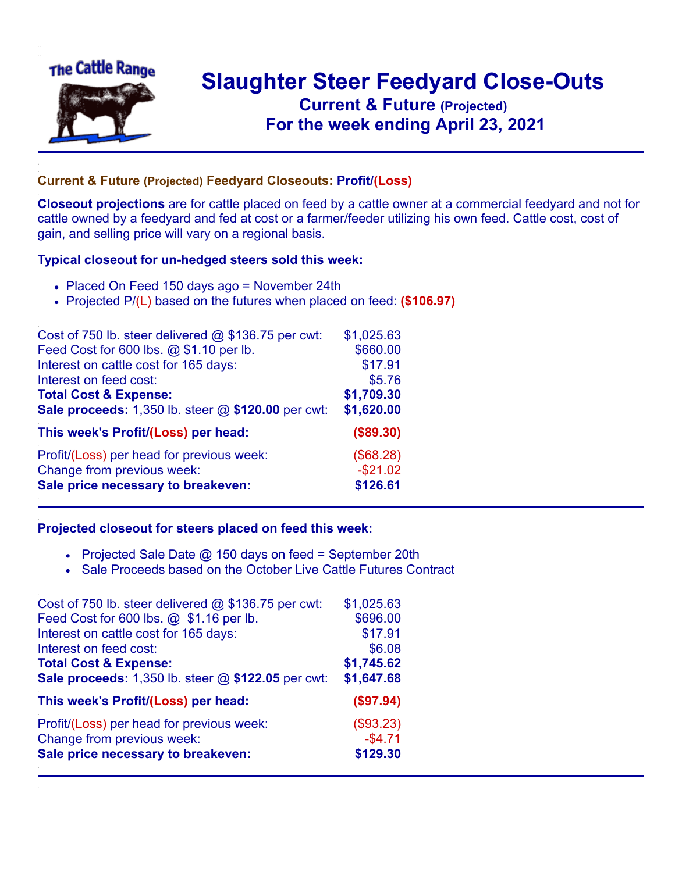

## **Slaughter Steer Feedyard Close-Outs Current & Future (Projected)** .**For the week ending April 23, 2021**

## **Current & Future (Projected) Feedyard Closeouts: Profit/(Loss)**

**Closeout projections** are for cattle placed on feed by a cattle owner at a commercial feedyard and not for cattle owned by a feedyard and fed at cost or a farmer/feeder utilizing his own feed. Cattle cost, cost of gain, and selling price will vary on a regional basis.

## **Typical closeout for un-hedged steers sold this week:**

- Placed On Feed 150 days ago = November 24th
- Projected P/(L) based on the futures when placed on feed: **(\$106.97)**

| Cost of 750 lb. steer delivered $@$ \$136.75 per cwt: | \$1,025.63 |
|-------------------------------------------------------|------------|
| Feed Cost for 600 lbs. @ \$1.10 per lb.               | \$660.00   |
| Interest on cattle cost for 165 days:                 | \$17.91    |
| Interest on feed cost:                                | \$5.76     |
| <b>Total Cost &amp; Expense:</b>                      | \$1,709.30 |
| Sale proceeds: 1,350 lb. steer @ \$120.00 per cwt:    | \$1,620.00 |
| This week's Profit/(Loss) per head:                   | (\$89.30)  |
| Profit/(Loss) per head for previous week:             | (\$68.28)  |
| Change from previous week:                            | $-$21.02$  |
| Sale price necessary to breakeven:                    | \$126.61   |

## **Projected closeout for steers placed on feed this week:**

- Projected Sale Date  $@$  150 days on feed = September 20th
- Sale Proceeds based on the October Live Cattle Futures Contract

| \$1,025.63 |
|------------|
| \$696.00   |
| \$17.91    |
| \$6.08     |
| \$1,745.62 |
| \$1,647.68 |
| (\$97.94)  |
| (\$93.23)  |
| $-$4.71$   |
| \$129.30   |
|            |